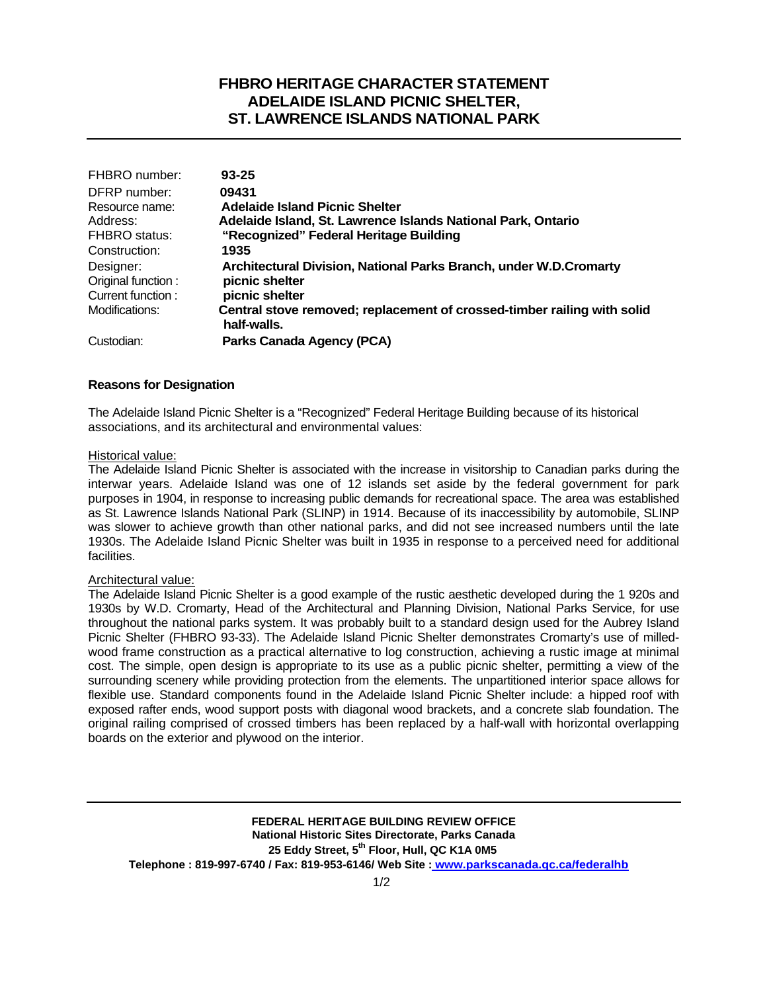# **FHBRO HERITAGE CHARACTER STATEMENT ADELAIDE ISLAND PICNIC SHELTER, ST. LAWRENCE ISLANDS NATIONAL PARK**

| FHBRO number:      | $93 - 25$                                                               |
|--------------------|-------------------------------------------------------------------------|
| DFRP number:       | 09431                                                                   |
| Resource name:     | <b>Adelaide Island Picnic Shelter</b>                                   |
| Address:           | Adelaide Island, St. Lawrence Islands National Park, Ontario            |
| FHBRO status:      | "Recognized" Federal Heritage Building                                  |
| Construction:      | 1935                                                                    |
| Designer:          | Architectural Division, National Parks Branch, under W.D.Cromarty       |
| Original function: | picnic shelter                                                          |
| Current function : | picnic shelter                                                          |
| Modifications:     | Central stove removed; replacement of crossed-timber railing with solid |
|                    | half-walls.                                                             |
| Custodian:         | Parks Canada Agency (PCA)                                               |

### **Reasons for Designation**

The Adelaide Island Picnic Shelter is a "Recognized" Federal Heritage Building because of its historical associations, and its architectural and environmental values:

#### Historical value:

The Adelaide Island Picnic Shelter is associated with the increase in visitorship to Canadian parks during the interwar years. Adelaide Island was one of 12 islands set aside by the federal government for park purposes in 1904, in response to increasing public demands for recreational space. The area was established as St. Lawrence Islands National Park (SLINP) in 1914. Because of its inaccessibility by automobile, SLINP was slower to achieve growth than other national parks, and did not see increased numbers until the late 1930s. The Adelaide Island Picnic Shelter was built in 1935 in response to a perceived need for additional facilities.

### Architectural value:

The Adelaide Island Picnic Shelter is a good example of the rustic aesthetic developed during the 1 920s and 1930s by W.D. Cromarty, Head of the Architectural and Planning Division, National Parks Service, for use throughout the national parks system. It was probably built to a standard design used for the Aubrey Island Picnic Shelter (FHBRO 93-33). The Adelaide Island Picnic Shelter demonstrates Cromarty's use of milledwood frame construction as a practical alternative to log construction, achieving a rustic image at minimal cost. The simple, open design is appropriate to its use as a public picnic shelter, permitting a view of the surrounding scenery while providing protection from the elements. The unpartitioned interior space allows for flexible use. Standard components found in the Adelaide Island Picnic Shelter include: a hipped roof with exposed rafter ends, wood support posts with diagonal wood brackets, and a concrete slab foundation. The original railing comprised of crossed timbers has been replaced by a half-wall with horizontal overlapping boards on the exterior and plywood on the interior.